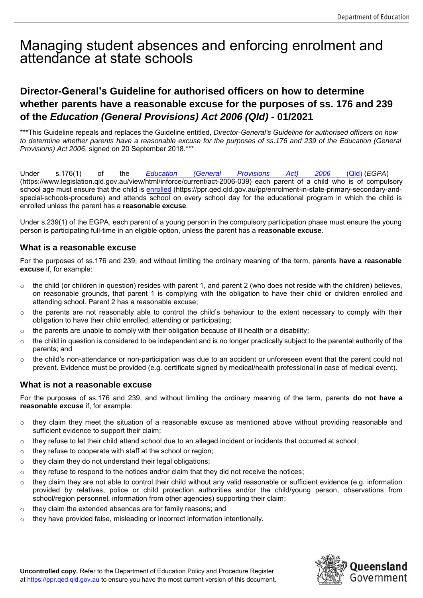# Managing student absences and enforcing enrolment and attendance at state schools

## **Director-General's Guideline for authorised officers on how to determine whether parents have a reasonable excuse for the purposes of ss. 176 and 239 of the** *Education (General Provisions) Act 2006 (Qld)* **- 01/2021**

\*\*\*This Guideline repeals and replaces the Guideline entitled, *Director-General's Guideline for authorised officers on how to determine whether parents have a reasonable excuse for the purposes of ss.176 and 239 of the Education (General Provisions) Act 2006*, signed on 20 September 2018.\*\*\*

Under s.176(1) of the *[Education \(General Provisions Act\) 2006](https://www.legislation.qld.gov.au/LEGISLTN/CURRENT/E/EducGenPrA06.pdf)* (Qld) (*EGPA*) (https://www.legislation.qld.gov.au/view/html/inforce/current/act-2006-039) each parent of a child who is of compulsory school age must ensure that the child i[s enrolled](https://ppr.qed.qld.gov.au/pp/enrolment-in-state-primary-secondary-and-special-schools-procedure) (https://ppr.qed.qld.gov.au/pp/enrolment-in-state-primary-secondary-andspecial-schools-procedure) and attends school on every school day for the educational program in which the child is enrolled unless the parent has a **reasonable excuse**.

Under s.239(1) of the EGPA, each parent of a young person in the compulsory participation phase must ensure the young person is participating full-time in an eligible option, unless the parent has a **reasonable excuse**.

#### **What is a reasonable excuse**

For the purposes of ss.176 and 239, and without limiting the ordinary meaning of the term, parents **have a reasonable excuse** if, for example:

- o the child (or children in question) resides with parent 1, and parent 2 (who does not reside with the children) believes, on reasonable grounds, that parent 1 is complying with the obligation to have their child or children enrolled and attending school. Parent 2 has a reasonable excuse;
- $\circ$  the parents are not reasonably able to control the child's behaviour to the extent necessary to comply with their obligation to have their child enrolled, attending or participating;
- $\circ$  the parents are unable to comply with their obligation because of ill health or a disability;
- $\circ$  the child in question is considered to be independent and is no longer practically subject to the parental authority of the parents; and
- $\circ$  the child's non-attendance or non-participation was due to an accident or unforeseen event that the parent could not prevent. Evidence must be provided (e.g. certificate signed by medical/health professional in case of medical event).

#### **What is not a reasonable excuse**

For the purposes of ss.176 and 239, and without limiting the ordinary meaning of the term, parents **do not have a reasonable excuse** if, for example:

- $\circ$  they claim they meet the situation of a reasonable excuse as mentioned above without providing reasonable and sufficient evidence to support their claim;
- o they refuse to let their child attend school due to an alleged incident or incidents that occurred at school;
- o they refuse to cooperate with staff at the school or region;
- o they claim they do not understand their legal obligations;
- $\circ$  they refuse to respond to the notices and/or claim that they did not receive the notices;
- $\circ$  they claim they are not able to control their child without any valid reasonable or sufficient evidence (e.g. information provided by relatives, police or child protection authorities and/or the child/young person, observations from school/region personnel, information from other agencies) supporting their claim;
- o they claim the extended absences are for family reasons; and
- o they have provided false, misleading or incorrect information intentionally.